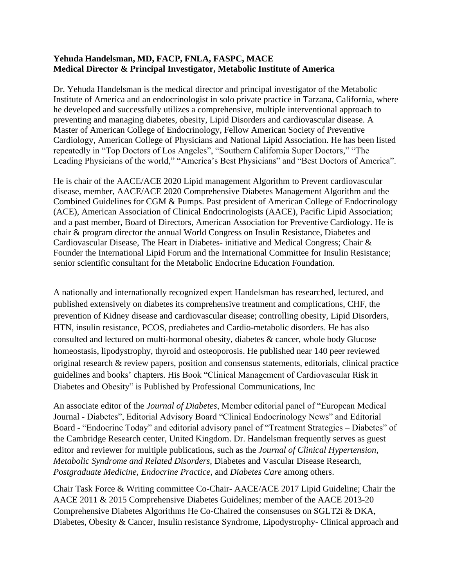## **Yehuda Handelsman, MD, FACP, FNLA, FASPC, MACE Medical Director & Principal Investigator, Metabolic Institute of America**

Dr. Yehuda Handelsman is the medical director and principal investigator of the Metabolic Institute of America and an endocrinologist in solo private practice in Tarzana, California, where he developed and successfully utilizes a comprehensive, multiple interventional approach to preventing and managing diabetes, obesity, Lipid Disorders and cardiovascular disease. A Master of American College of Endocrinology, Fellow American Society of Preventive Cardiology, American College of Physicians and National Lipid Association. He has been listed repeatedly in "Top Doctors of Los Angeles", "Southern California Super Doctors," "The Leading Physicians of the world," "America's Best Physicians" and "Best Doctors of America".

He is chair of the AACE/ACE 2020 Lipid management Algorithm to Prevent cardiovascular disease, member, AACE/ACE 2020 Comprehensive Diabetes Management Algorithm and the Combined Guidelines for CGM & Pumps. Past president of American College of Endocrinology (ACE), American Association of Clinical Endocrinologists (AACE), Pacific Lipid Association; and a past member, Board of Directors, American Association for Preventive Cardiology. He is chair & program director the annual World Congress on Insulin Resistance, Diabetes and Cardiovascular Disease, The Heart in Diabetes- initiative and Medical Congress; Chair & Founder the International Lipid Forum and the International Committee for Insulin Resistance; senior scientific consultant for the Metabolic Endocrine Education Foundation.

A nationally and internationally recognized expert Handelsman has researched, lectured, and published extensively on diabetes its comprehensive treatment and complications, CHF, the prevention of Kidney disease and cardiovascular disease; controlling obesity, Lipid Disorders, HTN, insulin resistance, PCOS, prediabetes and Cardio-metabolic disorders. He has also consulted and lectured on multi-hormonal obesity, diabetes & cancer, whole body Glucose homeostasis, lipodystrophy, thyroid and osteoporosis. He published near 140 peer reviewed original research & review papers, position and consensus statements, editorials, clinical practice guidelines and books' chapters. His Book "Clinical Management of Cardiovascular Risk in Diabetes and Obesity" is Published by Professional Communications, Inc

An associate editor of the *Journal of Diabetes*, Member editorial panel of "European Medical Journal - Diabetes", Editorial Advisory Board "Clinical Endocrinology News" and Editorial Board - "Endocrine Today" and editorial advisory panel of "Treatment Strategies – Diabetes" of the Cambridge Research center, United Kingdom. Dr. Handelsman frequently serves as guest editor and reviewer for multiple publications, such as the *Journal of Clinical Hypertension*, *Metabolic Syndrome and Related Disorders*, Diabetes and Vascular Disease Research, *Postgraduate Medicine, Endocrine Practice*, and *Diabetes Care* among others.

Chair Task Force & Writing committee Co-Chair- AACE/ACE 2017 Lipid Guideline; Chair the AACE 2011 & 2015 Comprehensive Diabetes Guidelines; member of the AACE 2013-20 Comprehensive Diabetes Algorithms He Co-Chaired the consensuses on SGLT2i & DKA, Diabetes, Obesity & Cancer, Insulin resistance Syndrome, Lipodystrophy- Clinical approach and